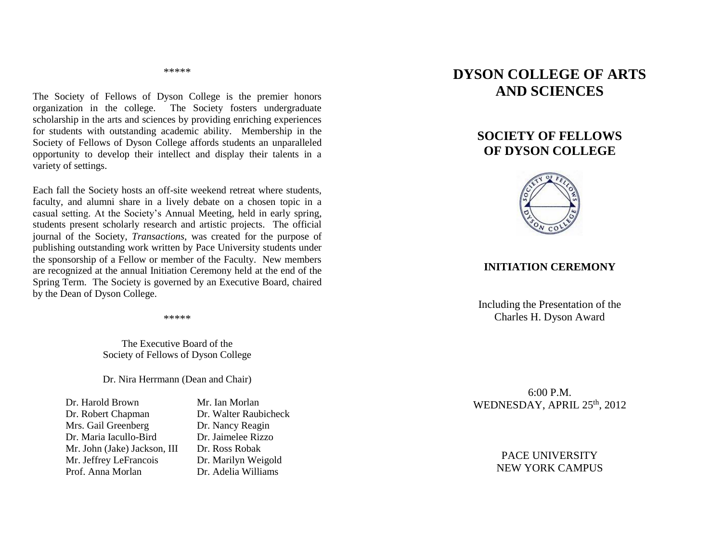\*\*\*\*\*

The Society of Fellows of Dyson College is the premier honors organization in the college. The Society fosters undergraduate scholarship in the arts and sciences by providing enriching experiences for students with outstanding academic ability. Membership in the Society of Fellows of Dyson College affords students an unparalleled opportunity to develop their intellect and display their talents in a variety of settings.

Each fall the Society hosts an off-site weekend retreat where students, faculty, and alumni share in a lively debate on a chosen topic in a casual setting. At the Society's Annual Meeting, held in early spring, students present scholarly research and artistic projects. The official journal of the Society, *Transactions*, was created for the purpose of publishing outstanding work written by Pace University students under the sponsorship of a Fellow or member of the Faculty. New members are recognized at the annual Initiation Ceremony held at the end of the Spring Term. The Society is governed by an Executive Board, chaired by the Dean of Dyson College.

\*\*\*\*\*

The Executive Board of the Society of Fellows of Dyson College

Dr. Nira Herrmann (Dean and Chair)

| Dr. Harold Brown             |
|------------------------------|
| Dr. Robert Chapman           |
| Mrs. Gail Greenberg          |
| Dr. Maria Iacullo-Bird       |
| Mr. John (Jake) Jackson, III |
| Mr. Jeffrey LeFrancois       |
| Prof. Anna Morlan            |

Mr. Ian Morlan Dr. Walter Raubicheck Dr. Nancy Reagin Dr. Jaimelee Rizzo Dr. Ross Robak Dr. Marilyn Weigold Dr. Adelia Williams

# **DYSON COLLEGE OF ARTS AND SCIENCES**

## **SOCIETY OF FELLOWS OF DYSON COLLEGE**



#### **INITIATION CEREMONY**

Including the Presentation of the Charles H. Dyson Award

6:00 P.M. WEDNESDAY, APRIL 25<sup>th</sup>, 2012

> PACE UNIVERSITY NEW YORK CAMPUS